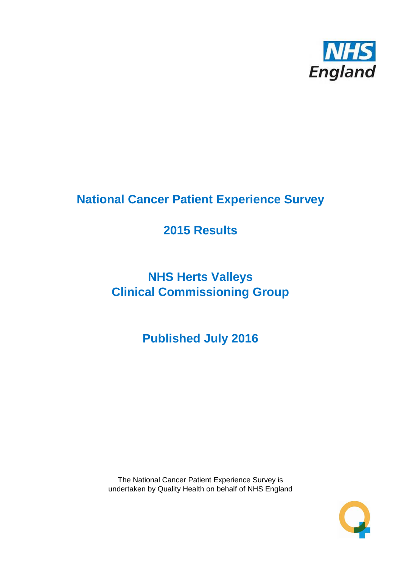

# **National Cancer Patient Experience Survey**

# **2015 Results**

# **NHS Herts Valleys Clinical Commissioning Group**

**Published July 2016**

The National Cancer Patient Experience Survey is undertaken by Quality Health on behalf of NHS England

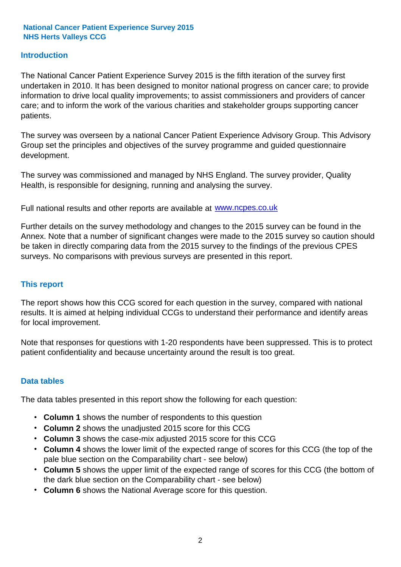#### **Introduction**

The National Cancer Patient Experience Survey 2015 is the fifth iteration of the survey first undertaken in 2010. It has been designed to monitor national progress on cancer care; to provide information to drive local quality improvements; to assist commissioners and providers of cancer care; and to inform the work of the various charities and stakeholder groups supporting cancer patients.

The survey was overseen by a national Cancer Patient Experience Advisory Group. This Advisory Group set the principles and objectives of the survey programme and guided questionnaire development.

The survey was commissioned and managed by NHS England. The survey provider, Quality Health, is responsible for designing, running and analysing the survey.

Full national results and other reports are available at www.ncpes.co.uk

Further details on the survey methodology and changes to the 2015 survey can be found in the Annex. Note that a number of significant changes were made to the 2015 survey so caution should be taken in directly comparing data from the 2015 survey to the findings of the previous CPES surveys. No comparisons with previous surveys are presented in this report.

#### **This report**

The report shows how this CCG scored for each question in the survey, compared with national results. It is aimed at helping individual CCGs to understand their performance and identify areas for local improvement.

Note that responses for questions with 1-20 respondents have been suppressed. This is to protect patient confidentiality and because uncertainty around the result is too great.

#### **Data tables**

The data tables presented in this report show the following for each question:

- **Column 1** shows the number of respondents to this question
- **Column 2** shows the unadjusted 2015 score for this CCG
- **Column 3** shows the case-mix adjusted 2015 score for this CCG
- **Column 4** shows the lower limit of the expected range of scores for this CCG (the top of the pale blue section on the Comparability chart - see below)
- **Column 5** shows the upper limit of the expected range of scores for this CCG (the bottom of the dark blue section on the Comparability chart - see below)
- **Column 6** shows the National Average score for this question.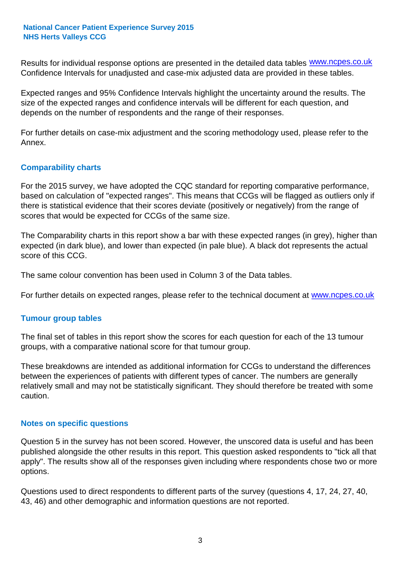Results for individual response options are presented in the detailed data tables **WWW.ncpes.co.uk** Confidence Intervals for unadjusted and case-mix adjusted data are provided in these tables.

Expected ranges and 95% Confidence Intervals highlight the uncertainty around the results. The size of the expected ranges and confidence intervals will be different for each question, and depends on the number of respondents and the range of their responses.

For further details on case-mix adjustment and the scoring methodology used, please refer to the Annex.

#### **Comparability charts**

For the 2015 survey, we have adopted the CQC standard for reporting comparative performance, based on calculation of "expected ranges". This means that CCGs will be flagged as outliers only if there is statistical evidence that their scores deviate (positively or negatively) from the range of scores that would be expected for CCGs of the same size.

The Comparability charts in this report show a bar with these expected ranges (in grey), higher than expected (in dark blue), and lower than expected (in pale blue). A black dot represents the actual score of this CCG.

The same colour convention has been used in Column 3 of the Data tables.

For further details on expected ranges, please refer to the technical document at **www.ncpes.co.uk** 

#### **Tumour group tables**

The final set of tables in this report show the scores for each question for each of the 13 tumour groups, with a comparative national score for that tumour group.

These breakdowns are intended as additional information for CCGs to understand the differences between the experiences of patients with different types of cancer. The numbers are generally relatively small and may not be statistically significant. They should therefore be treated with some caution.

#### **Notes on specific questions**

Question 5 in the survey has not been scored. However, the unscored data is useful and has been published alongside the other results in this report. This question asked respondents to "tick all that apply". The results show all of the responses given including where respondents chose two or more options.

Questions used to direct respondents to different parts of the survey (questions 4, 17, 24, 27, 40, 43, 46) and other demographic and information questions are not reported.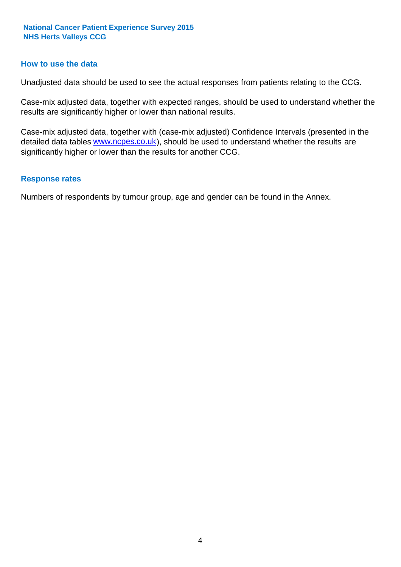#### **How to use the data**

Unadjusted data should be used to see the actual responses from patients relating to the CCG.

Case-mix adjusted data, together with expected ranges, should be used to understand whether the results are significantly higher or lower than national results.

Case-mix adjusted data, together with (case-mix adjusted) Confidence Intervals (presented in the detailed data tables **www.ncpes.co.uk**), should be used to understand whether the results are significantly higher or lower than the results for another CCG.

#### **Response rates**

Numbers of respondents by tumour group, age and gender can be found in the Annex.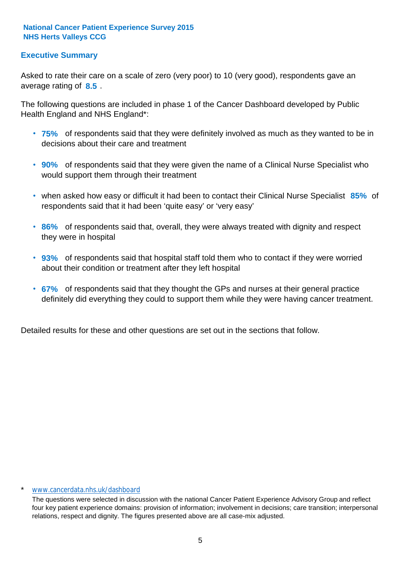### **Executive Summary**

average rating of **8.5**. Asked to rate their care on a scale of zero (very poor) to 10 (very good), respondents gave an

The following questions are included in phase 1 of the Cancer Dashboard developed by Public Health England and NHS England\*:

- **75%** of respondents said that they were definitely involved as much as they wanted to be in decisions about their care and treatment
- **90%** of respondents said that they were given the name of a Clinical Nurse Specialist who would support them through their treatment
- when asked how easy or difficult it had been to contact their Clinical Nurse Specialist 85% of respondents said that it had been 'quite easy' or 'very easy'
- **86%** of respondents said that, overall, they were always treated with dignity and respect they were in hospital
- **93%** of respondents said that hospital staff told them who to contact if they were worried about their condition or treatment after they left hospital
- **67%** of respondents said that they thought the GPs and nurses at their general practice definitely did everything they could to support them while they were having cancer treatment.

Detailed results for these and other questions are set out in the sections that follow.

#### www.cancerdata.nhs.uk/dashboard

The questions were selected in discussion with the national Cancer Patient Experience Advisory Group and reflect four key patient experience domains: provision of information; involvement in decisions; care transition; interpersonal relations, respect and dignity. The figures presented above are all case-mix adjusted.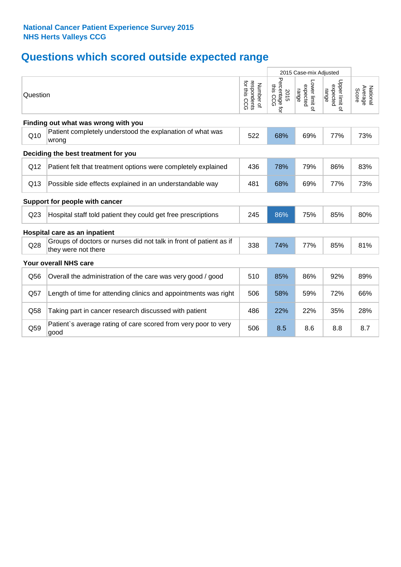## **Questions which scored outside expected range**

|          |                                                                                           |                                          | 2015 Case-mix Adjusted                |                                     |                                     |                              |
|----------|-------------------------------------------------------------------------------------------|------------------------------------------|---------------------------------------|-------------------------------------|-------------------------------------|------------------------------|
| Question |                                                                                           | respondents<br>for this CCG<br>Number of | Percentage 1<br>this CCG<br>2015<br>ţ | -ower limit of<br>expected<br>range | Upper limit of<br>expected<br>range | Average<br>National<br>Score |
|          | Finding out what was wrong with you                                                       |                                          |                                       |                                     |                                     |                              |
| Q10      | Patient completely understood the explanation of what was<br>wrong                        | 522                                      | 68%                                   | 69%                                 | 77%                                 | 73%                          |
|          | Deciding the best treatment for you                                                       |                                          |                                       |                                     |                                     |                              |
| Q12      | Patient felt that treatment options were completely explained                             | 436                                      | 78%                                   | 79%                                 | 86%                                 | 83%                          |
| Q13      | Possible side effects explained in an understandable way                                  | 481                                      | 68%                                   | 69%                                 | 77%                                 | 73%                          |
|          | Support for people with cancer                                                            |                                          |                                       |                                     |                                     |                              |
| Q23      | Hospital staff told patient they could get free prescriptions                             | 245                                      | 86%                                   | 75%                                 | 85%                                 | 80%                          |
|          | Hospital care as an inpatient                                                             |                                          |                                       |                                     |                                     |                              |
| Q28      | Groups of doctors or nurses did not talk in front of patient as if<br>they were not there | 338                                      | 74%                                   | 77%                                 | 85%                                 | 81%                          |
|          | Your overall NHS care                                                                     |                                          |                                       |                                     |                                     |                              |
| Q56      | Overall the administration of the care was very good / good                               | 510                                      | 85%                                   | 86%                                 | 92%                                 | 89%                          |
| Q57      | Length of time for attending clinics and appointments was right                           | 506                                      | 58%                                   | 59%                                 | 72%                                 | 66%                          |
| Q58      | Taking part in cancer research discussed with patient                                     | 486                                      | 22%                                   | 22%                                 | 35%                                 | 28%                          |
| Q59      | Patient's average rating of care scored from very poor to very<br>good                    | 506                                      | 8.5                                   | 8.6                                 | 8.8                                 | 8.7                          |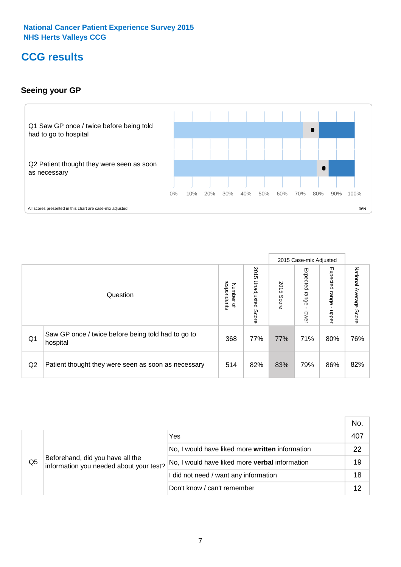## **CCG results**

### **Seeing your GP**



|    |                                                                |                                                     |                             |               | 2015 Case-mix Adjusted     |                            |                           |
|----|----------------------------------------------------------------|-----------------------------------------------------|-----------------------------|---------------|----------------------------|----------------------------|---------------------------|
|    | Question                                                       | respondents<br><b>Number</b><br>$\overline{\sigma}$ | 2015<br>Unadjusted<br>Score | 2015<br>Score | Expected<br>range<br>lower | Expected<br>range<br>nbber | National Average<br>Score |
| Q1 | Saw GP once / twice before being told had to go to<br>hospital | 368                                                 | 77%                         | 77%           | 71%                        | 80%                        | 76%                       |
| Q2 | Patient thought they were seen as soon as necessary            | 514                                                 | 82%                         | 83%           | 79%                        | 86%                        | 82%                       |

|    |                                                                             |                                                 | No. |
|----|-----------------------------------------------------------------------------|-------------------------------------------------|-----|
|    | Beforehand, did you have all the<br>information you needed about your test? | Yes                                             | 407 |
|    |                                                                             | No, I would have liked more written information | 22  |
| Q5 |                                                                             | No, I would have liked more verbal information  | 19  |
|    |                                                                             | I did not need / want any information           | 18  |
|    |                                                                             | Don't know / can't remember                     | 12  |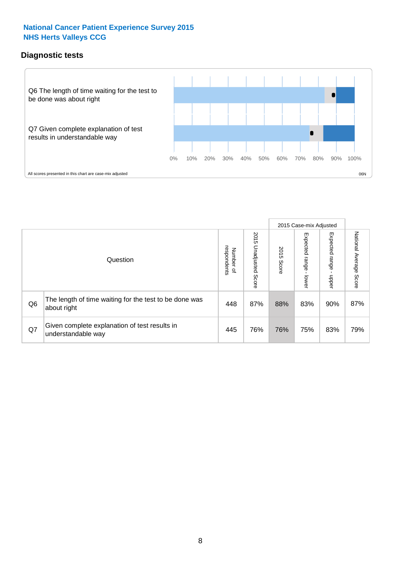### **Diagnostic tests**



|                |                                                                       |                                   |                             |               | 2015 Case-mix Adjusted  |                         |                           |
|----------------|-----------------------------------------------------------------------|-----------------------------------|-----------------------------|---------------|-------------------------|-------------------------|---------------------------|
|                | Question                                                              | respondents<br>Number<br>$\Omega$ | 2015<br>Unadjusted<br>Score | 2015<br>Score | Expected range<br>lower | Expected range<br>nbber | National Average<br>Score |
| Q <sub>6</sub> | The length of time waiting for the test to be done was<br>about right | 448                               | 87%                         | 88%           | 83%                     | 90%                     | 87%                       |
| Q7             | Given complete explanation of test results in<br>understandable way   | 445                               | 76%                         | 76%           | 75%                     | 83%                     | 79%                       |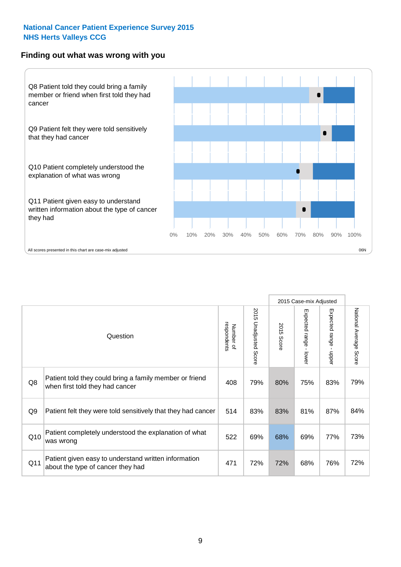#### **Finding out what was wrong with you**



|                |                                                                                            |                          |                             |               | 2015 Case-mix Adjusted                  |                           |                        |
|----------------|--------------------------------------------------------------------------------------------|--------------------------|-----------------------------|---------------|-----------------------------------------|---------------------------|------------------------|
|                | Question                                                                                   | respondents<br>Number of | 2015<br>Unadjusted<br>Score | 2015<br>Score | Expected range<br>$\mathbf{I}$<br>lower | Expected range -<br>nbber | National Average Score |
| Q8             | Patient told they could bring a family member or friend<br>when first told they had cancer | 408                      | 79%                         | 80%           | 75%                                     | 83%                       | 79%                    |
| Q <sub>9</sub> | Patient felt they were told sensitively that they had cancer                               | 514                      | 83%                         | 83%           | 81%                                     | 87%                       | 84%                    |
| Q10            | Patient completely understood the explanation of what<br>was wrong                         | 522                      | 69%                         | 68%           | 69%                                     | 77%                       | 73%                    |
| Q11            | Patient given easy to understand written information<br>about the type of cancer they had  | 471                      | 72%                         | 72%           | 68%                                     | 76%                       | 72%                    |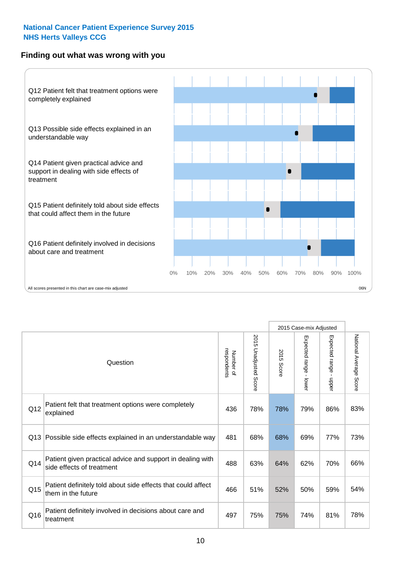### **Finding out what was wrong with you**



|          |                                                                                         |                          |                          |               | 2015 Case-mix Adjusted                  |                           |                        |
|----------|-----------------------------------------------------------------------------------------|--------------------------|--------------------------|---------------|-----------------------------------------|---------------------------|------------------------|
| Question |                                                                                         | Number of<br>respondents | 2015<br>Unadjusted Score | 2015<br>Score | Expected range<br>$\mathbf{I}$<br>lower | Expected range -<br>nbber | National Average Score |
| Q12      | Patient felt that treatment options were completely<br>explained                        | 436                      | 78%                      | 78%           | 79%                                     | 86%                       | 83%                    |
| Q13      | Possible side effects explained in an understandable way                                | 481                      | 68%                      | 68%           | 69%                                     | 77%                       | 73%                    |
| Q14      | Patient given practical advice and support in dealing with<br>side effects of treatment | 488                      | 63%                      | 64%           | 62%                                     | 70%                       | 66%                    |
| Q15      | Patient definitely told about side effects that could affect<br>them in the future      | 466                      | 51%                      | 52%           | 50%                                     | 59%                       | 54%                    |
| Q16      | Patient definitely involved in decisions about care and<br>treatment                    | 497                      | 75%                      | 75%           | 74%                                     | 81%                       | 78%                    |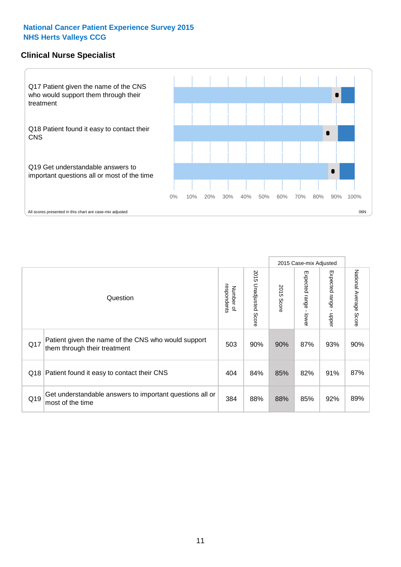### **Clinical Nurse Specialist**



|     |                                                                                     |                          |                       |               | 2015 Case-mix Adjusted  |                         |                                  |
|-----|-------------------------------------------------------------------------------------|--------------------------|-----------------------|---------------|-------------------------|-------------------------|----------------------------------|
|     | Question                                                                            | Number of<br>respondents | 2015 Unadjusted Score | 2015<br>Score | Expected range<br>lower | Expected range<br>nbber | National Average<br><b>Score</b> |
| Q17 | Patient given the name of the CNS who would support<br>them through their treatment | 503                      | 90%                   | 90%           | 87%                     | 93%                     | 90%                              |
| Q18 | Patient found it easy to contact their CNS                                          | 404                      | 84%                   | 85%           | 82%                     | 91%                     | 87%                              |
| Q19 | Get understandable answers to important questions all or<br>most of the time        | 384                      | 88%                   | 88%           | 85%                     | 92%                     | 89%                              |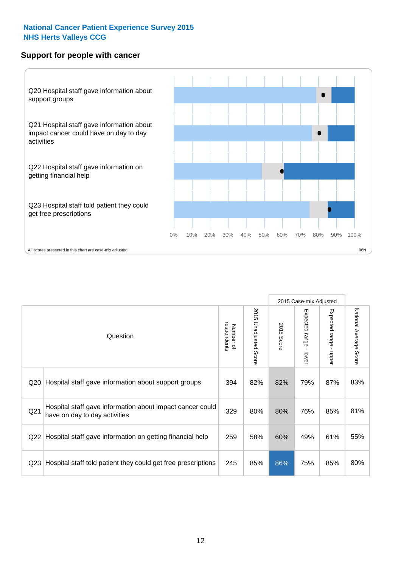#### **Support for people with cancer**



|                 |                                                                                            |                          |                                 |                      | 2015 Case-mix Adjusted                    |                                           |                        |
|-----------------|--------------------------------------------------------------------------------------------|--------------------------|---------------------------------|----------------------|-------------------------------------------|-------------------------------------------|------------------------|
|                 | Question                                                                                   | respondents<br>Number of | 2015<br><b>Unadjusted Score</b> | 2015<br><b>Score</b> | Expected range<br>$\blacksquare$<br>lower | Expected range<br>$\blacksquare$<br>nbber | National Average Score |
| Q20             | Hospital staff gave information about support groups                                       | 394                      | 82%                             | 82%                  | 79%                                       | 87%                                       | 83%                    |
| Q21             | Hospital staff gave information about impact cancer could<br>have on day to day activities | 329                      | 80%                             | 80%                  | 76%                                       | 85%                                       | 81%                    |
| Q22             | Hospital staff gave information on getting financial help                                  | 259                      | 58%                             | 60%                  | 49%                                       | 61%                                       | 55%                    |
| Q <sub>23</sub> | Hospital staff told patient they could get free prescriptions                              | 245                      | 85%                             | 86%                  | 75%                                       | 85%                                       | 80%                    |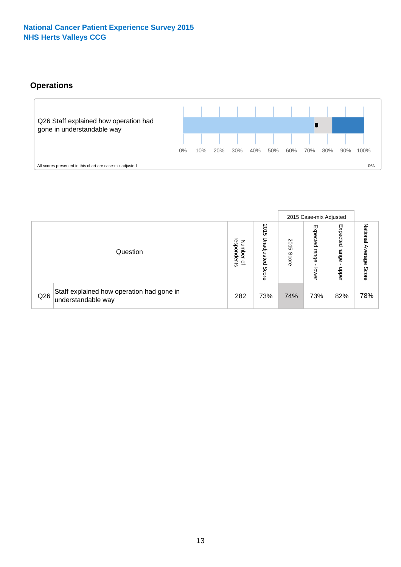## **Operations**



|     |                                                                 |                                         |                             |               | 2015 Case-mix Adjusted     |                           |                              |
|-----|-----------------------------------------------------------------|-----------------------------------------|-----------------------------|---------------|----------------------------|---------------------------|------------------------------|
|     | Question                                                        | respondents<br>Number<br>$\overline{a}$ | 2015<br>Unadjusted<br>Score | 2015<br>Score | Expected<br>range<br>lower | Expected<br>range<br>ddoe | National<br>Average<br>Score |
| Q26 | Staff explained how operation had gone in<br>understandable way | 282                                     | 73%                         | 74%           | 73%                        | 82%                       | 78%                          |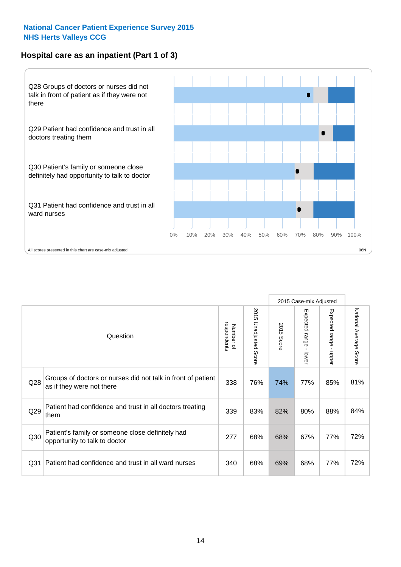## **Hospital care as an inpatient (Part 1 of 3)**



All scores presented in this chart are case-mix adjusted  $06N$ 

|                 |                                                                                           |                          |                       |                      | 2015 Case-mix Adjusted                    |                                         |                        |
|-----------------|-------------------------------------------------------------------------------------------|--------------------------|-----------------------|----------------------|-------------------------------------------|-----------------------------------------|------------------------|
|                 | Question                                                                                  | respondents<br>Number of | 2015 Unadjusted Score | 2015<br><b>Score</b> | Expected range<br>$\blacksquare$<br>lower | Expected range<br>$\mathbf{I}$<br>nbber | National Average Score |
| Q28             | Groups of doctors or nurses did not talk in front of patient<br>as if they were not there | 338                      | 76%                   | 74%                  | 77%                                       | 85%                                     | 81%                    |
| Q29             | Patient had confidence and trust in all doctors treating<br>them                          | 339                      | 83%                   | 82%                  | 80%                                       | 88%                                     | 84%                    |
| Q30             | Patient's family or someone close definitely had<br>opportunity to talk to doctor         | 277                      | 68%                   | 68%                  | 67%                                       | 77%                                     | 72%                    |
| Q <sub>31</sub> | Patient had confidence and trust in all ward nurses                                       | 340                      | 68%                   | 69%                  | 68%                                       | 77%                                     | 72%                    |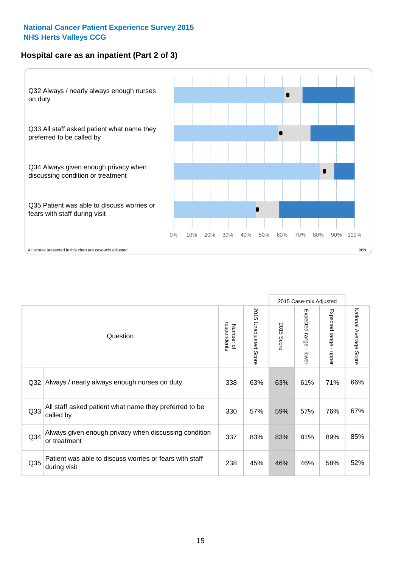### **Hospital care as an inpatient (Part 2 of 3)**



2015 Case-mix Adjusted National Average Score 2015 Unadjusted Score Expected range - lower Expected range - upper 2015 Unadjusted Score Expected range - upper Expected range - lower Number of<br>respondents respondents 2015 Score 2015 Score Number of Question Q32 |Always / nearly always enough nurses on duty  $\begin{array}{|l|} \hline \end{array}$  338 | 63% | 63% | 61% | 71% | 66% Q33 330 57% 59% 57% 76% All staff asked patient what name they preferred to be called by 67% Q34 337 83% 83% 81% 89% Always given enough privacy when discussing condition or treatment 85% Patient was able to discuss worries or fears with staff during visit during visit  $\frac{32\%}{1000}$  because we have started with started  $\frac{32\%}{1000}$  and  $\frac{32\%}{1000}$  and  $\frac{32\%}{1000}$  and  $\frac{32\%}{1000}$  and  $\frac{32\%}{1000}$  and  $\frac{32\%}{1000}$  and  $\frac{32\%}{1000}$  and  $\$ Q35 45% 46% 46% 58%

National Average Score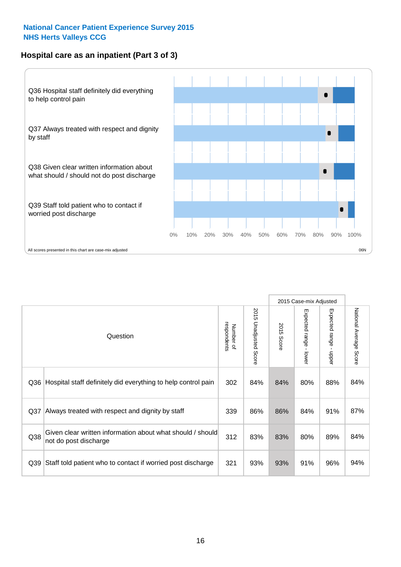## **Hospital care as an inpatient (Part 3 of 3)**



|                 |                                                                                     |                          |                                 |               | 2015 Case-mix Adjusted  |                        |                        |
|-----------------|-------------------------------------------------------------------------------------|--------------------------|---------------------------------|---------------|-------------------------|------------------------|------------------------|
|                 | Question                                                                            | respondents<br>Number of | 2015<br><b>Unadjusted Score</b> | 2015<br>Score | Expected range<br>lower | Expected range - upper | National Average Score |
| Q36             | Hospital staff definitely did everything to help control pain                       | 302                      | 84%                             | 84%           | 80%                     | 88%                    | 84%                    |
| Q <sub>37</sub> | Always treated with respect and dignity by staff                                    | 339                      | 86%                             | 86%           | 84%                     | 91%                    | 87%                    |
| Q38             | Given clear written information about what should / should<br>not do post discharge | 312                      | 83%                             | 83%           | 80%                     | 89%                    | 84%                    |
| Q39             | Staff told patient who to contact if worried post discharge                         | 321                      | 93%                             | 93%           | 91%                     | 96%                    | 94%                    |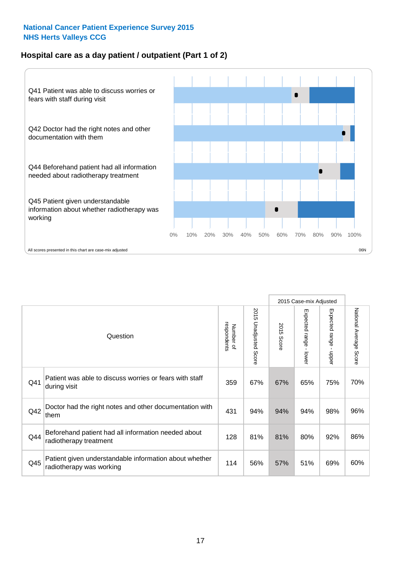### **Hospital care as a day patient / outpatient (Part 1 of 2)**



|     |                                                                                    |                          |                                 |                      | 2015 Case-mix Adjusted                  |                                         |                        |
|-----|------------------------------------------------------------------------------------|--------------------------|---------------------------------|----------------------|-----------------------------------------|-----------------------------------------|------------------------|
|     | Question                                                                           | respondents<br>Number of | 2015<br><b>Unadjusted Score</b> | 2015<br><b>Score</b> | Expected range<br>$\mathbf{r}$<br>lower | Expected range<br>$\mathbf{r}$<br>nbber | National Average Score |
| Q41 | Patient was able to discuss worries or fears with staff<br>during visit            | 359                      | 67%                             | 67%                  | 65%                                     | 75%                                     | 70%                    |
| Q42 | Doctor had the right notes and other documentation with<br>them                    | 431                      | 94%                             | 94%                  | 94%                                     | 98%                                     | 96%                    |
| Q44 | Beforehand patient had all information needed about<br>radiotherapy treatment      | 128                      | 81%                             | 81%                  | 80%                                     | 92%                                     | 86%                    |
| Q45 | Patient given understandable information about whether<br>radiotherapy was working | 114                      | 56%                             | 57%                  | 51%                                     | 69%                                     | 60%                    |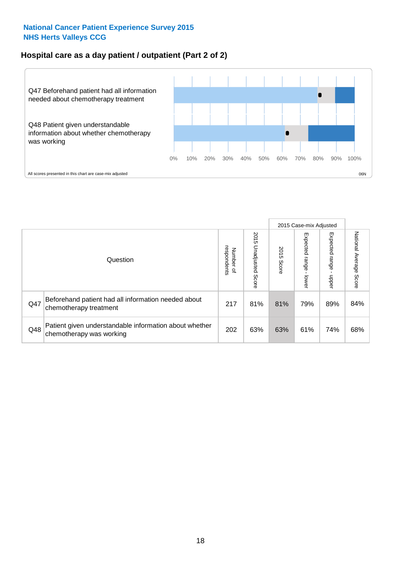### **Hospital care as a day patient / outpatient (Part 2 of 2)**



|     |                                                                                    |                                       |                             |               | 2015 Case-mix Adjusted       |                         |                           |
|-----|------------------------------------------------------------------------------------|---------------------------------------|-----------------------------|---------------|------------------------------|-------------------------|---------------------------|
|     | Question                                                                           | respondents<br>Number<br>$\mathbf{Q}$ | 2015<br>Unadjusted<br>Score | 2015<br>Score | Expected<br>I range<br>lower | Expected range<br>nbber | National Average<br>Score |
| Q47 | Beforehand patient had all information needed about<br>chemotherapy treatment      | 217                                   | 81%                         | 81%           | 79%                          | 89%                     | 84%                       |
| Q48 | Patient given understandable information about whether<br>chemotherapy was working | 202                                   | 63%                         | 63%           | 61%                          | 74%                     | 68%                       |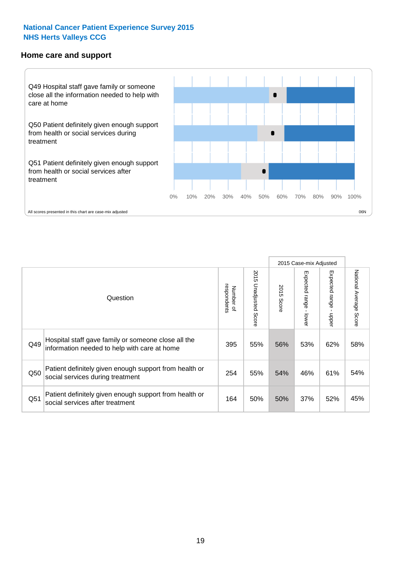#### **Home care and support**



2015 Case-mix Adjusted 2015 Unadjusted Score Expected range - upper National Average Score 2015 Unadjusted Score Expected range - lower National Average Score Expected range - lower Expected range - upper Number of<br>respondents 2015 Score respondents 2015 Score Number of Question Hospital staff gave family or someone close all the  $Q49$  information needed to help with care at home  $\begin{array}{|l|l|l|l|l|}\n\hline\n395 & 55\% & 56\% & 53\% & 62\% & 58\% \n\end{array}$ Patient definitely given enough support from health or  $\frac{1}{250}$  social services during treatment  $\frac{1}{254}$   $\frac{1}{55\%}$  54%  $\frac{1}{46\%}$  61% 54% Patient definitely given enough support from health or Q51 social services after treatment<br>
Q51 social services after treatment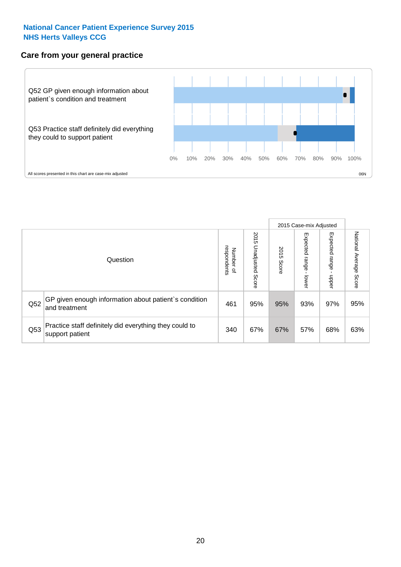#### **Care from your general practice**



|     |                                                                           |                                              |                             |               | 2015 Case-mix Adjusted             |                              |                           |
|-----|---------------------------------------------------------------------------|----------------------------------------------|-----------------------------|---------------|------------------------------------|------------------------------|---------------------------|
|     | Question                                                                  | respondents<br>Number<br>$\overline{\sigma}$ | 2015<br>Unadjusted<br>Score | 2015<br>Score | Expected<br><b>Irange</b><br>lower | Expected<br>  range<br>doper | National Average<br>Score |
| Q52 | GP given enough information about patient's condition<br>and treatment    | 461                                          | 95%                         | 95%           | 93%                                | 97%                          | 95%                       |
| Q53 | Practice staff definitely did everything they could to<br>support patient | 340                                          | 67%                         | 67%           | 57%                                | 68%                          | 63%                       |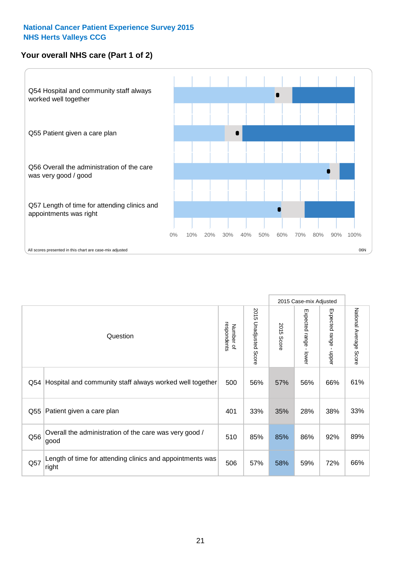## **Your overall NHS care (Part 1 of 2)**



|     |                                                                    |                          |                                 |                      | 2015 Case-mix Adjusted  |                                           |                        |
|-----|--------------------------------------------------------------------|--------------------------|---------------------------------|----------------------|-------------------------|-------------------------------------------|------------------------|
|     | Question                                                           | respondents<br>Number of | 2015<br><b>Unadjusted Score</b> | 2015<br><b>Score</b> | Expected range<br>lower | Expected range<br>$\blacksquare$<br>nbber | National Average Score |
| Q54 | Hospital and community staff always worked well together           | 500                      | 56%                             | 57%                  | 56%                     | 66%                                       | 61%                    |
| Q55 | Patient given a care plan                                          | 401                      | 33%                             | 35%                  | 28%                     | 38%                                       | 33%                    |
| Q56 | Overall the administration of the care was very good /<br>good     | 510                      | 85%                             | 85%                  | 86%                     | 92%                                       | 89%                    |
| Q57 | Length of time for attending clinics and appointments was<br>right | 506                      | 57%                             | 58%                  | 59%                     | 72%                                       | 66%                    |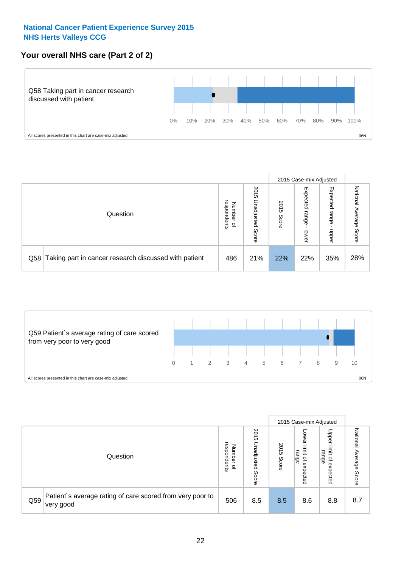## **Your overall NHS care (Part 2 of 2)**



|     |                                                       |                                              |                             |               | 2015 Case-mix Adjusted     |                            |                        |
|-----|-------------------------------------------------------|----------------------------------------------|-----------------------------|---------------|----------------------------|----------------------------|------------------------|
|     | Question                                              | respondents<br>Number<br>$\overline{\sigma}$ | 2015<br>Unadjusted<br>Score | 2015<br>Score | Expected<br>range<br>lower | Expected<br>range<br>nbber | National Average Score |
| Q58 | Taking part in cancer research discussed with patient | 486                                          | 21%                         | 22%           | 22%                        | 35%                        | 28%                    |



|     |                                                                        |                                              |                             |               | 2015 Case-mix Adjusted                  |                                                       |                              |
|-----|------------------------------------------------------------------------|----------------------------------------------|-----------------------------|---------------|-----------------------------------------|-------------------------------------------------------|------------------------------|
|     | Question                                                               | respondents<br>Number<br>$\overline{\sigma}$ | 2015<br>Jnadjusted<br>Score | 2015<br>Score | OWer<br>limit<br>range<br>٩<br>expected | Upper<br>limit<br>range<br>$\overline{a}$<br>expected | National<br>Average<br>Score |
| Q59 | Patient's average rating of care scored from very poor to<br>very good | 506                                          | 8.5                         | 8.5           | 8.6                                     | 8.8                                                   | 8.7                          |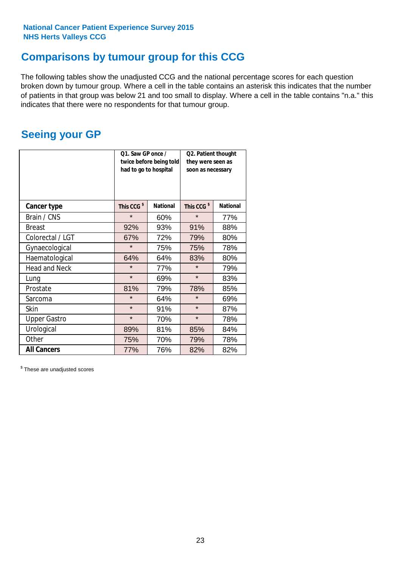## **Comparisons by tumour group for this CCG**

The following tables show the unadjusted CCG and the national percentage scores for each question broken down by tumour group. Where a cell in the table contains an asterisk this indicates that the number of patients in that group was below 21 and too small to display. Where a cell in the table contains "n.a." this indicates that there were no respondents for that tumour group.

## **Seeing your GP**

|                      | Q1. Saw GP once /<br>had to go to hospital | twice before being told | Q2. Patient thought<br>they were seen as<br>soon as necessary |                 |  |
|----------------------|--------------------------------------------|-------------------------|---------------------------------------------------------------|-----------------|--|
| <b>Cancer type</b>   | This CCG <sup>\$</sup>                     | <b>National</b>         | This CCG <sup>\$</sup>                                        | <b>National</b> |  |
| Brain / CNS          | $\star$                                    | 60%                     | $\star$                                                       | 77%             |  |
| <b>Breast</b>        | 92%                                        | 93%                     | 91%                                                           | 88%             |  |
| Colorectal / LGT     | 67%                                        | 72%                     | 79%                                                           | 80%             |  |
| Gynaecological       | $\star$                                    | 75%                     | 75%                                                           | 78%             |  |
| Haematological       | 64%                                        | 64%                     | 83%                                                           | 80%             |  |
| <b>Head and Neck</b> | $\star$                                    | 77%                     | $\star$                                                       | 79%             |  |
| Lung                 | $\star$                                    | 69%                     | $\star$                                                       | 83%             |  |
| Prostate             | 81%                                        | 79%                     | 78%                                                           | 85%             |  |
| Sarcoma              | $\star$                                    | 64%                     | $\star$                                                       | 69%             |  |
| Skin                 | $\star$                                    | 91%                     | $\star$                                                       | 87%             |  |
| <b>Upper Gastro</b>  | $\star$                                    | 70%                     | $\star$                                                       | 78%             |  |
| Urological           | 89%                                        | 81%                     | 85%                                                           | 84%             |  |
| Other                | 75%                                        | 70%                     | 79%                                                           | 78%             |  |
| <b>All Cancers</b>   | 77%                                        | 76%                     | 82%                                                           | 82%             |  |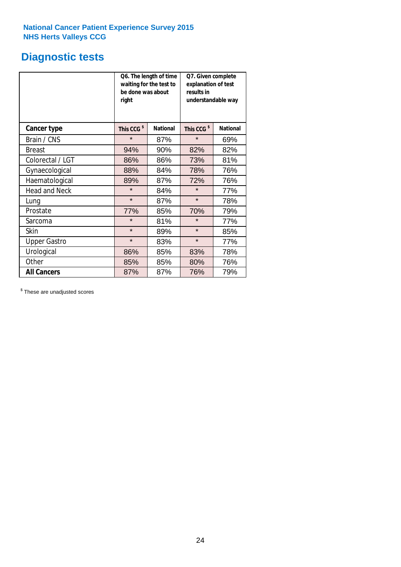## **Diagnostic tests**

|                      | be done was about<br>right | Q6. The length of time<br>waiting for the test to | Q7. Given complete<br>explanation of test<br>results in<br>understandable way |                 |  |
|----------------------|----------------------------|---------------------------------------------------|-------------------------------------------------------------------------------|-----------------|--|
| <b>Cancer type</b>   | This CCG <sup>\$</sup>     | <b>National</b>                                   | This CCG <sup>\$</sup>                                                        | <b>National</b> |  |
| Brain / CNS          | $\star$                    | 87%                                               | $\star$                                                                       | 69%             |  |
| <b>Breast</b>        | 94%                        | 90%                                               | 82%                                                                           | 82%             |  |
| Colorectal / LGT     | 86%                        | 86%                                               | 73%                                                                           | 81%             |  |
| Gynaecological       | 88%                        | 84%                                               | 78%                                                                           | 76%             |  |
| Haematological       | 89%                        | 87%                                               | 72%                                                                           | 76%             |  |
| <b>Head and Neck</b> | $\star$                    | 84%                                               | $\star$                                                                       | 77%             |  |
| Lung                 | $\star$                    | 87%                                               | $\star$                                                                       | 78%             |  |
| Prostate             | 77%                        | 85%                                               | 70%                                                                           | 79%             |  |
| Sarcoma              | $\star$                    | 81%                                               | $\star$                                                                       | 77%             |  |
| <b>Skin</b>          | $\star$                    | 89%                                               | $\star$                                                                       | 85%             |  |
| <b>Upper Gastro</b>  | $\star$                    | 83%                                               | $\star$                                                                       | 77%             |  |
| Urological           | 86%                        | 85%                                               | 83%                                                                           | 78%             |  |
| Other                | 85%                        | 85%                                               | 80%                                                                           | 76%             |  |
| <b>All Cancers</b>   | 87%                        | 87%                                               | 76%                                                                           | 79%             |  |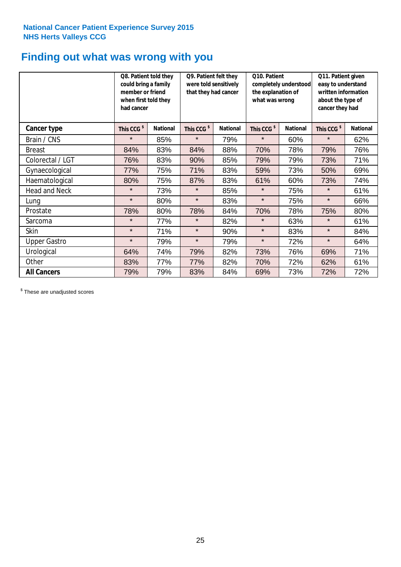## **Finding out what was wrong with you**

|                      | Q8. Patient told they<br>could bring a family<br>member or friend<br>when first told they<br>had cancer |                 | Q9. Patient felt they<br>were told sensitively<br>that they had cancer |                 | Q10. Patient<br>completely understood<br>the explanation of<br>what was wrong |                 | Q11. Patient given<br>easy to understand<br>written information<br>about the type of<br>cancer they had |                 |
|----------------------|---------------------------------------------------------------------------------------------------------|-----------------|------------------------------------------------------------------------|-----------------|-------------------------------------------------------------------------------|-----------------|---------------------------------------------------------------------------------------------------------|-----------------|
| Cancer type          | This CCG <sup>\$</sup>                                                                                  | <b>National</b> | This CCG <sup>\$</sup>                                                 | <b>National</b> | This CCG <sup>\$</sup>                                                        | <b>National</b> | This CCG <sup>\$</sup>                                                                                  | <b>National</b> |
| Brain / CNS          | $\star$                                                                                                 | 85%             | $\star$                                                                | 79%             | $\star$                                                                       | 60%             | $\star$                                                                                                 | 62%             |
| <b>Breast</b>        | 84%                                                                                                     | 83%             | 84%                                                                    | 88%             | 70%                                                                           | 78%             | 79%                                                                                                     | 76%             |
| Colorectal / LGT     | 76%                                                                                                     | 83%             | 90%                                                                    | 85%             | 79%                                                                           | 79%             | 73%                                                                                                     | 71%             |
| Gynaecological       | 77%                                                                                                     | 75%             | 71%                                                                    | 83%             | 59%                                                                           | 73%             | 50%                                                                                                     | 69%             |
| Haematological       | 80%                                                                                                     | 75%             | 87%                                                                    | 83%             | 61%                                                                           | 60%             | 73%                                                                                                     | 74%             |
| <b>Head and Neck</b> | $\star$                                                                                                 | 73%             | $\star$                                                                | 85%             | $\star$                                                                       | 75%             | $\star$                                                                                                 | 61%             |
| Lung                 | $\star$                                                                                                 | 80%             | $\star$                                                                | 83%             | $\star$                                                                       | 75%             | $\star$                                                                                                 | 66%             |
| Prostate             | 78%                                                                                                     | 80%             | 78%                                                                    | 84%             | 70%                                                                           | 78%             | 75%                                                                                                     | 80%             |
| Sarcoma              | $\star$                                                                                                 | 77%             | $\star$                                                                | 82%             | $\star$                                                                       | 63%             | $\star$                                                                                                 | 61%             |
| Skin                 | $\star$                                                                                                 | 71%             | $\star$                                                                | 90%             | $\star$                                                                       | 83%             | $\star$                                                                                                 | 84%             |
| <b>Upper Gastro</b>  | $\star$                                                                                                 | 79%             | $\star$                                                                | 79%             | $\star$                                                                       | 72%             | $\star$                                                                                                 | 64%             |
| Urological           | 64%                                                                                                     | 74%             | 79%                                                                    | 82%             | 73%                                                                           | 76%             | 69%                                                                                                     | 71%             |
| Other                | 83%                                                                                                     | 77%             | 77%                                                                    | 82%             | 70%                                                                           | 72%             | 62%                                                                                                     | 61%             |
| <b>All Cancers</b>   | 79%                                                                                                     | 79%             | 83%                                                                    | 84%             | 69%                                                                           | 73%             | 72%                                                                                                     | 72%             |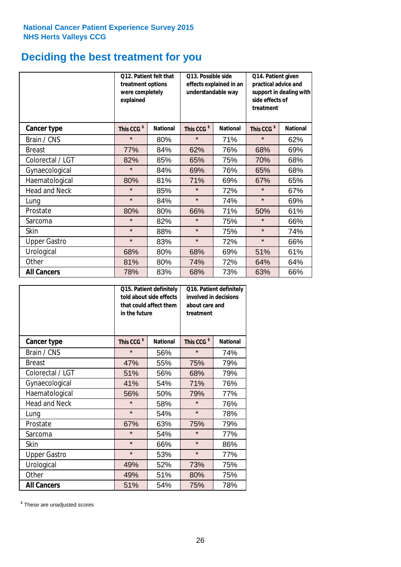## **Deciding the best treatment for you**

|                      | Q12. Patient felt that<br>treatment options<br>were completely<br>explained |                 | Q13. Possible side<br>understandable way | effects explained in an | Q14. Patient given<br>practical advice and<br>support in dealing with<br>side effects of<br>treatment |                 |  |
|----------------------|-----------------------------------------------------------------------------|-----------------|------------------------------------------|-------------------------|-------------------------------------------------------------------------------------------------------|-----------------|--|
| <b>Cancer type</b>   | This CCG <sup>\$</sup>                                                      | <b>National</b> | This CCG <sup>\$</sup>                   | <b>National</b>         | This CCG <sup>\$</sup>                                                                                | <b>National</b> |  |
| Brain / CNS          | $\star$                                                                     | 80%             | $\star$                                  | 71%                     | $\star$                                                                                               | 62%             |  |
| <b>Breast</b>        | 77%                                                                         | 84%             | 62%                                      | 76%                     | 68%                                                                                                   | 69%             |  |
| Colorectal / LGT     | 82%                                                                         | 85%             | 65%                                      | 75%                     | 70%                                                                                                   | 68%             |  |
| Gynaecological       | $\star$                                                                     | 84%             | 69%                                      | 76%                     | 65%                                                                                                   | 68%             |  |
| Haematological       | 80%                                                                         | 81%             | 71%                                      | 69%                     | 67%                                                                                                   | 65%             |  |
| <b>Head and Neck</b> | $\star$                                                                     | 85%             | $\star$                                  | 72%                     | $\star$                                                                                               | 67%             |  |
| Lung                 | $\star$                                                                     | 84%             | $\star$                                  | 74%                     | $\star$                                                                                               | 69%             |  |
| Prostate             | 80%                                                                         | 80%             | 66%                                      | 71%                     | 50%                                                                                                   | 61%             |  |
| Sarcoma              | $\star$                                                                     | 82%             | $\star$                                  | 75%                     | $\star$                                                                                               | 66%             |  |
| Skin                 | $\star$                                                                     | 88%             | $\star$                                  | 75%                     | $\star$                                                                                               | 74%             |  |
| <b>Upper Gastro</b>  | $\star$                                                                     | 83%             | $\star$                                  | 72%                     | $\star$                                                                                               | 66%             |  |
| Urological           | 68%                                                                         | 80%             | 68%                                      | 69%                     | 51%                                                                                                   | 61%             |  |
| Other                | 81%                                                                         | 80%             | 74%                                      | 72%                     | 64%                                                                                                   | 64%             |  |
| <b>All Cancers</b>   | 78%                                                                         | 83%             | 68%                                      | 73%                     | 63%                                                                                                   | 66%             |  |

|                      | in the future          | Q15. Patient definitely<br>told about side effects<br>that could affect them | about care and<br>treatment | Q16. Patient definitely<br>involved in decisions |  |  |
|----------------------|------------------------|------------------------------------------------------------------------------|-----------------------------|--------------------------------------------------|--|--|
| <b>Cancer type</b>   | This CCG <sup>\$</sup> | <b>National</b>                                                              | This CCG <sup>\$</sup>      | <b>National</b>                                  |  |  |
| Brain / CNS          | $\star$                | 56%                                                                          | $\star$                     | 74%                                              |  |  |
| <b>Breast</b>        | 47%                    | 55%                                                                          | 75%                         | 79%                                              |  |  |
| Colorectal / LGT     | 51%                    | 56%                                                                          | 68%                         | 79%                                              |  |  |
| Gynaecological       | 41%                    | 54%                                                                          |                             | 76%                                              |  |  |
| Haematological       | 50%<br>56%             |                                                                              | 79%                         | 77%                                              |  |  |
| <b>Head and Neck</b> | $\star$                | 58%                                                                          | $\star$                     | 76%                                              |  |  |
| Lung                 | $\star$                | 54%                                                                          | $\star$                     | 78%                                              |  |  |
| Prostate             | 67%                    | 63%                                                                          | 75%                         | 79%                                              |  |  |
| Sarcoma              | $\star$                | 54%                                                                          | $\star$                     | 77%                                              |  |  |
| Skin                 | $\star$                | 66%                                                                          | $\star$                     | 86%                                              |  |  |
| <b>Upper Gastro</b>  | $\star$                | 53%                                                                          | $\star$                     | 77%                                              |  |  |
| Urological           | 49%                    | 52%                                                                          | 73%                         | 75%                                              |  |  |
| Other                | 49%                    | 51%                                                                          | 80%                         | 75%                                              |  |  |
| <b>All Cancers</b>   | 51%                    | 54%                                                                          | 75%                         | 78%                                              |  |  |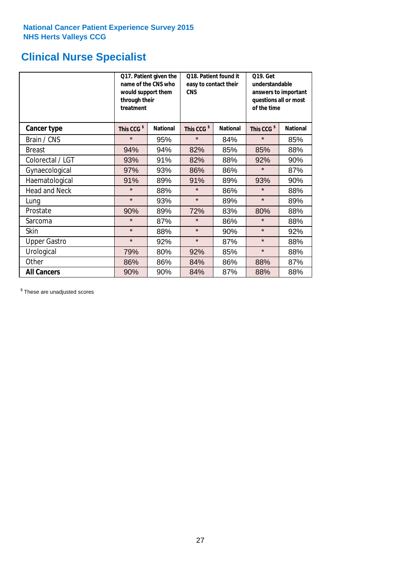## **Clinical Nurse Specialist**

|                      | would support them<br>through their<br>treatment | Q17. Patient given the<br>name of the CNS who | Q18. Patient found it<br>easy to contact their<br><b>CNS</b> |                 | <b>Q19. Get</b><br>understandable<br>answers to important<br>questions all or most<br>of the time |                 |  |
|----------------------|--------------------------------------------------|-----------------------------------------------|--------------------------------------------------------------|-----------------|---------------------------------------------------------------------------------------------------|-----------------|--|
| <b>Cancer type</b>   | This CCG <sup>\$</sup>                           | <b>National</b>                               | This CCG <sup>\$</sup>                                       | <b>National</b> | This CCG <sup>\$</sup>                                                                            | <b>National</b> |  |
| Brain / CNS          | $\star$                                          | 95%                                           | $\star$                                                      | 84%             | $\star$                                                                                           | 85%             |  |
| <b>Breast</b>        | 94%                                              | 94%                                           | 82%                                                          | 85%             | 85%                                                                                               | 88%             |  |
| Colorectal / LGT     | 93%                                              | 91%                                           | 82%                                                          | 88%             | 92%                                                                                               | 90%             |  |
| Gynaecological       | 97%                                              | 93%                                           | 86%                                                          | 86%             | $\star$                                                                                           | 87%             |  |
| Haematological       | 91%                                              | 89%                                           | 91%                                                          | 89%             | 93%                                                                                               | 90%             |  |
| <b>Head and Neck</b> | $\star$                                          | 88%                                           | $\star$                                                      | 86%             | $\star$                                                                                           | 88%             |  |
| Lung                 | $\star$                                          | 93%                                           | $\star$                                                      | 89%             | $\star$                                                                                           | 89%             |  |
| Prostate             | 90%                                              | 89%                                           | 72%                                                          | 83%             | 80%                                                                                               | 88%             |  |
| Sarcoma              | $\star$                                          | 87%                                           | $\star$                                                      | 86%             | $\star$                                                                                           | 88%             |  |
| Skin                 | $\star$                                          | 88%                                           | $\star$                                                      | 90%             | $\star$                                                                                           | 92%             |  |
| <b>Upper Gastro</b>  | $\star$                                          | 92%                                           | $\star$                                                      | 87%             | $\star$                                                                                           | 88%             |  |
| Urological           | 79%                                              | 80%                                           | 92%                                                          | 85%             | $\star$                                                                                           | 88%             |  |
| Other                | 86%                                              | 86%                                           | 84%                                                          | 86%             | 88%                                                                                               | 87%             |  |
| <b>All Cancers</b>   | 90%                                              | 90%                                           | 84%                                                          | 87%             | 88%                                                                                               | 88%             |  |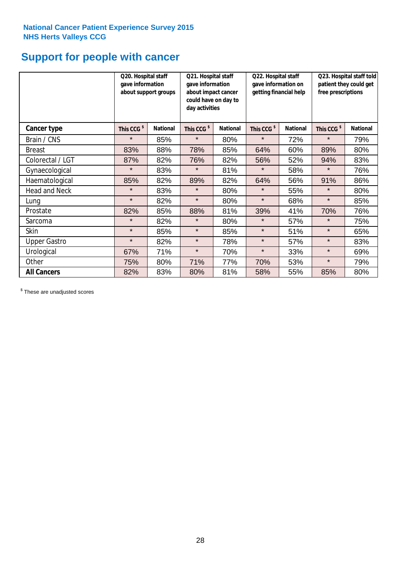## **Support for people with cancer**

|                      | Q20. Hospital staff<br>gave information | about support groups | Q21. Hospital staff<br>gave information<br>about impact cancer<br>could have on day to<br>day activities |                 | Q22. Hospital staff<br>gave information on<br>getting financial help |                 | Q23. Hospital staff told<br>patient they could get<br>free prescriptions |                 |
|----------------------|-----------------------------------------|----------------------|----------------------------------------------------------------------------------------------------------|-----------------|----------------------------------------------------------------------|-----------------|--------------------------------------------------------------------------|-----------------|
| Cancer type          | This CCG <sup>\$</sup>                  | <b>National</b>      | This CCG <sup>\$</sup>                                                                                   | <b>National</b> | This CCG <sup>\$</sup>                                               | <b>National</b> | This CCG <sup>\$</sup>                                                   | <b>National</b> |
| Brain / CNS          | $\star$                                 | 85%                  | $\star$                                                                                                  | 80%             | $\star$                                                              | 72%             | $\star$                                                                  | 79%             |
| <b>Breast</b>        | 83%                                     | 88%                  | 78%                                                                                                      | 85%             | 64%                                                                  | 60%             | 89%                                                                      | 80%             |
| Colorectal / LGT     | 87%                                     | 82%                  | 76%                                                                                                      | 82%             | 56%                                                                  | 52%             | 94%                                                                      | 83%             |
| Gynaecological       | $\star$                                 | 83%                  | $\star$                                                                                                  | 81%             | $\star$                                                              | 58%             | $\star$                                                                  | 76%             |
| Haematological       | 85%                                     | 82%                  | 89%                                                                                                      | 82%             | 64%                                                                  | 56%             | 91%                                                                      | 86%             |
| <b>Head and Neck</b> | $\star$                                 | 83%                  | $\star$                                                                                                  | 80%             | $\star$                                                              | 55%             | $\star$                                                                  | 80%             |
| Lung                 | $\star$                                 | 82%                  | $\star$                                                                                                  | 80%             | $\star$                                                              | 68%             | $\star$                                                                  | 85%             |
| Prostate             | 82%                                     | 85%                  | 88%                                                                                                      | 81%             | 39%                                                                  | 41%             | 70%                                                                      | 76%             |
| Sarcoma              | $\star$                                 | 82%                  | $\star$                                                                                                  | 80%             | $\star$                                                              | 57%             | $\star$                                                                  | 75%             |
| Skin                 | $\star$                                 | 85%                  | $\star$                                                                                                  | 85%             | $\star$                                                              | 51%             | $\star$                                                                  | 65%             |
| <b>Upper Gastro</b>  | $\star$                                 | 82%                  | $\star$                                                                                                  | 78%             | $\star$                                                              | 57%             | $\star$                                                                  | 83%             |
| Urological           | 67%                                     | 71%                  | $\star$                                                                                                  | 70%             | $\star$                                                              | 33%             | $\star$                                                                  | 69%             |
| Other                | 75%                                     | 80%                  | 71%                                                                                                      | 77%             | 70%                                                                  | 53%             | $\star$                                                                  | 79%             |
| <b>All Cancers</b>   | 82%                                     | 83%                  | 80%                                                                                                      | 81%             | 58%                                                                  | 55%             | 85%                                                                      | 80%             |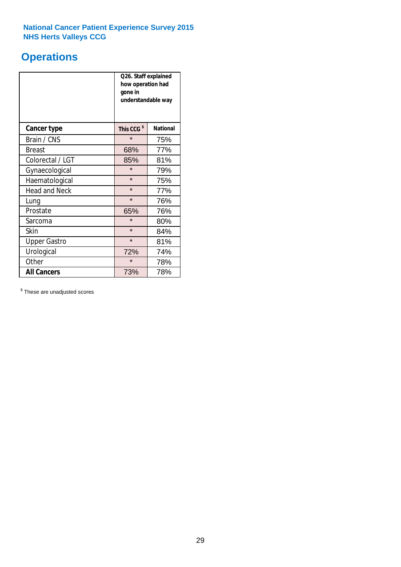## **Operations**

|                      | Q26. Staff explained<br>how operation had<br>gone in<br>understandable way |                 |  |  |
|----------------------|----------------------------------------------------------------------------|-----------------|--|--|
| <b>Cancer type</b>   | This CCG <sup>\$</sup>                                                     | <b>National</b> |  |  |
| Brain / CNS          | $\star$                                                                    | 75%             |  |  |
| <b>Breast</b>        | 68%                                                                        | 77%             |  |  |
| Colorectal / LGT     | 85%                                                                        | 81%             |  |  |
| Gynaecological       | $\star$                                                                    | 79%             |  |  |
| Haematological       | $\star$                                                                    | 75%             |  |  |
| <b>Head and Neck</b> | $\star$                                                                    | 77%             |  |  |
| Lung                 | $\star$                                                                    | 76%             |  |  |
| Prostate             | 65%                                                                        | 76%             |  |  |
| Sarcoma              | $\star$                                                                    | 80%             |  |  |
| Skin                 | $\star$                                                                    | 84%             |  |  |
| <b>Upper Gastro</b>  | $\star$                                                                    | 81%             |  |  |
| Urological           | 72%<br>74%                                                                 |                 |  |  |
| Other                | $\star$                                                                    | 78%             |  |  |
| <b>All Cancers</b>   | 78%<br>73%                                                                 |                 |  |  |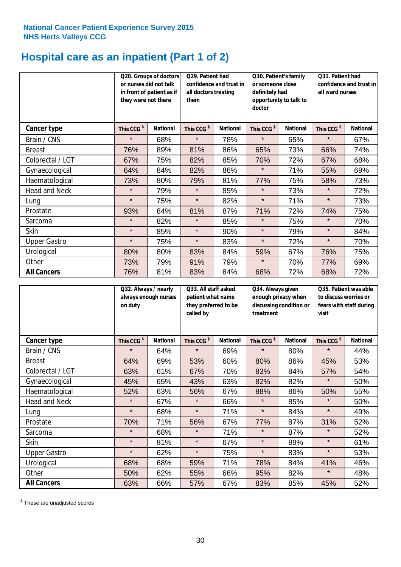## **Hospital care as an inpatient (Part 1 of 2)**

|                      | or nurses did not talk<br>they were not there | Q28. Groups of doctors<br>in front of patient as if | Q29. Patient had<br>confidence and trust in<br>all doctors treating<br>them |                 | Q30. Patient's family<br>or someone close<br>definitely had<br>opportunity to talk to<br>doctor |                 | Q31. Patient had<br>confidence and trust in I<br>all ward nurses |                 |
|----------------------|-----------------------------------------------|-----------------------------------------------------|-----------------------------------------------------------------------------|-----------------|-------------------------------------------------------------------------------------------------|-----------------|------------------------------------------------------------------|-----------------|
| Cancer type          | This CCG <sup>\$</sup>                        | <b>National</b>                                     | This CCG <sup>\$</sup>                                                      | <b>National</b> | This CCG <sup>\$</sup>                                                                          | <b>National</b> | This CCG <sup>\$</sup>                                           | <b>National</b> |
| Brain / CNS          | $\star$                                       | 68%                                                 | $\star$                                                                     | 78%             | $\star$                                                                                         | 65%             | $\star$                                                          | 67%             |
| <b>Breast</b>        | 76%                                           | 89%                                                 | 81%                                                                         | 86%             | 65%                                                                                             | 73%             | 66%                                                              | 74%             |
| Colorectal / LGT     | 67%                                           | 75%                                                 | 82%                                                                         | 85%             | 70%                                                                                             | 72%             | 67%                                                              | 68%             |
| Gynaecological       | 64%                                           | 84%                                                 | 82%                                                                         | 86%             | $\star$                                                                                         | 71%             | 55%                                                              | 69%             |
| Haematological       | 73%                                           | 80%                                                 | 79%                                                                         | 81%             | 77%                                                                                             | 75%             | 58%                                                              | 73%             |
| <b>Head and Neck</b> | $\star$                                       | 79%                                                 | $\star$                                                                     | 85%             | $\star$                                                                                         | 73%             | $\star$                                                          | 72%             |
| Lung                 | $\star$                                       | 75%                                                 | $\star$                                                                     | 82%             | $\star$                                                                                         | 71%             | $\star$                                                          | 73%             |
| Prostate             | 93%                                           | 84%                                                 | 81%                                                                         | 87%             | 71%                                                                                             | 72%             | 74%                                                              | 75%             |
| Sarcoma              | $\star$                                       | 82%                                                 | $\star$                                                                     | 85%             | $\star$                                                                                         | 75%             | $\star$                                                          | 70%             |
| Skin                 | $\star$                                       | 85%                                                 | $\star$                                                                     | 90%             | $\star$                                                                                         | 79%             | $\star$                                                          | 84%             |
| <b>Upper Gastro</b>  | $\star$                                       | 75%                                                 | $\star$                                                                     | 83%             | $\star$                                                                                         | 72%             | $\star$                                                          | 70%             |
| Urological           | 80%                                           | 80%                                                 | 83%                                                                         | 84%             | 59%                                                                                             | 67%             | 76%                                                              | 75%             |
| Other                | 73%                                           | 79%                                                 | 91%                                                                         | 79%             | $\star$                                                                                         | 70%             | 77%                                                              | 69%             |
| <b>All Cancers</b>   | 76%                                           | 81%                                                 | 83%                                                                         | 84%             | 68%                                                                                             | 72%             | 68%                                                              | 72%             |

|                      | Q32. Always / nearly<br>always enough nurses<br>on duty |                 | Q33. All staff asked<br>patient what name<br>they preferred to be<br>called by |                 | Q34. Always given<br>enough privacy when<br>discussing condition or<br>treatment |                 | Q35. Patient was able<br>to discuss worries or<br>fears with staff during<br>visit |                 |
|----------------------|---------------------------------------------------------|-----------------|--------------------------------------------------------------------------------|-----------------|----------------------------------------------------------------------------------|-----------------|------------------------------------------------------------------------------------|-----------------|
| <b>Cancer type</b>   | This CCG <sup>\$</sup>                                  | <b>National</b> | This CCG <sup>\$</sup>                                                         | <b>National</b> | This CCG <sup>\$</sup>                                                           | <b>National</b> | This CCG <sup>\$</sup>                                                             | <b>National</b> |
| Brain / CNS          | $\star$                                                 | 64%             | $\star$                                                                        | 69%             | $\star$                                                                          | 80%             | $\star$                                                                            | 44%             |
| <b>Breast</b>        | 64%                                                     | 69%             | 53%                                                                            | 60%             | 80%                                                                              | 86%             | 45%                                                                                | 53%             |
| Colorectal / LGT     | 63%                                                     | 61%             | 67%                                                                            | 70%             | 83%                                                                              | 84%             | 57%                                                                                | 54%             |
| Gynaecological       | 45%                                                     | 65%             | 43%                                                                            | 63%             | 82%                                                                              | 82%             | $\star$                                                                            | 50%             |
| Haematological       | 52%                                                     | 63%             | 56%                                                                            | 67%             | 88%                                                                              | 86%             | 50%                                                                                | 55%             |
| <b>Head and Neck</b> | $\star$                                                 | 67%             | $\star$                                                                        | 66%             | $\star$                                                                          | 85%             | $\star$                                                                            | 50%             |
| Lung                 | $\star$                                                 | 68%             | $\star$                                                                        | 71%             | $\star$                                                                          | 84%             | $\star$                                                                            | 49%             |
| Prostate             | 70%                                                     | 71%             | 56%                                                                            | 67%             | 77%                                                                              | 87%             | 31%                                                                                | 52%             |
| Sarcoma              | $\star$                                                 | 68%             | $\star$                                                                        | 71%             | $\star$                                                                          | 87%             | $\star$                                                                            | 52%             |
| Skin                 | $\star$                                                 | 81%             | $\star$                                                                        | 67%             | $\star$                                                                          | 89%             | $\star$                                                                            | 61%             |
| <b>Upper Gastro</b>  | $\star$                                                 | 62%             | $\star$                                                                        | 75%             | $\star$                                                                          | 83%             | $\star$                                                                            | 53%             |
| Urological           | 68%                                                     | 68%             | 59%                                                                            | 71%             | 78%                                                                              | 84%             | 41%                                                                                | 46%             |
| Other                | 50%                                                     | 62%             | 55%                                                                            | 66%             | 95%                                                                              | 82%             | $\star$                                                                            | 48%             |
| <b>All Cancers</b>   | 63%                                                     | 66%             | 57%                                                                            | 67%             | 83%                                                                              | 85%             | 45%                                                                                | 52%             |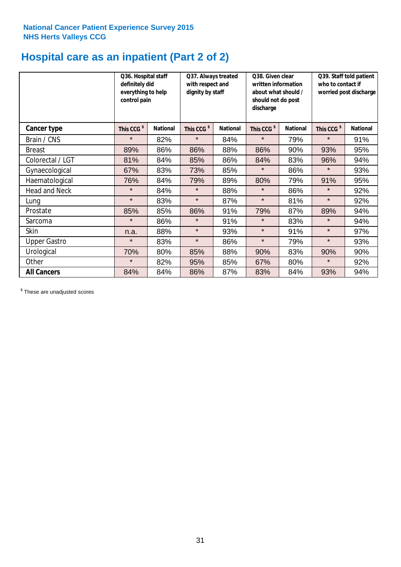## **Hospital care as an inpatient (Part 2 of 2)**

|                      | Q36. Hospital staff<br>definitely did<br>everything to help<br>control pain |                 | Q37. Always treated<br>with respect and<br>dignity by staff |                 | Q38. Given clear<br>written information<br>about what should /<br>should not do post<br>discharge |                 | Q39. Staff told patient<br>who to contact if<br>worried post discharge |                 |
|----------------------|-----------------------------------------------------------------------------|-----------------|-------------------------------------------------------------|-----------------|---------------------------------------------------------------------------------------------------|-----------------|------------------------------------------------------------------------|-----------------|
| Cancer type          | This CCG <sup>\$</sup>                                                      | <b>National</b> | This CCG <sup>\$</sup>                                      | <b>National</b> | This CCG <sup>\$</sup>                                                                            | <b>National</b> | This CCG <sup>\$</sup>                                                 | <b>National</b> |
| Brain / CNS          | $\star$                                                                     | 82%             | $\star$                                                     | 84%             | $\star$                                                                                           | 79%             | $\star$                                                                | 91%             |
| <b>Breast</b>        | 89%                                                                         | 86%             | 86%                                                         | 88%             | 86%                                                                                               | 90%             | 93%                                                                    | 95%             |
| Colorectal / LGT     | 81%                                                                         | 84%             | 85%                                                         | 86%             | 84%                                                                                               | 83%             | 96%                                                                    | 94%             |
| Gynaecological       | 67%                                                                         | 83%             | 73%                                                         | 85%             | $\star$                                                                                           | 86%             | $\star$                                                                | 93%             |
| Haematological       | 76%                                                                         | 84%             | 79%                                                         | 89%             | 80%                                                                                               | 79%             | 91%                                                                    | 95%             |
| <b>Head and Neck</b> | $\star$                                                                     | 84%             | $\star$                                                     | 88%             | $\star$                                                                                           | 86%             | $\star$                                                                | 92%             |
| Lung                 | $\star$                                                                     | 83%             | $\star$                                                     | 87%             | $\star$                                                                                           | 81%             | $\star$                                                                | 92%             |
| Prostate             | 85%                                                                         | 85%             | 86%                                                         | 91%             | 79%                                                                                               | 87%             | 89%                                                                    | 94%             |
| Sarcoma              | $\star$                                                                     | 86%             | $\star$                                                     | 91%             | $\star$                                                                                           | 83%             | $\star$                                                                | 94%             |
| Skin                 | n.a.                                                                        | 88%             | $\star$                                                     | 93%             | $\star$                                                                                           | 91%             | $\star$                                                                | 97%             |
| <b>Upper Gastro</b>  | $\star$                                                                     | 83%             | $\star$                                                     | 86%             | $\star$                                                                                           | 79%             | $\star$                                                                | 93%             |
| Urological           | 70%                                                                         | 80%             | 85%                                                         | 88%             | 90%                                                                                               | 83%             | 90%                                                                    | 90%             |
| Other                | $\star$                                                                     | 82%             | 95%                                                         | 85%             | 67%                                                                                               | 80%             | $\star$                                                                | 92%             |
| <b>All Cancers</b>   | 84%                                                                         | 84%             | 86%                                                         | 87%             | 83%                                                                                               | 84%             | 93%                                                                    | 94%             |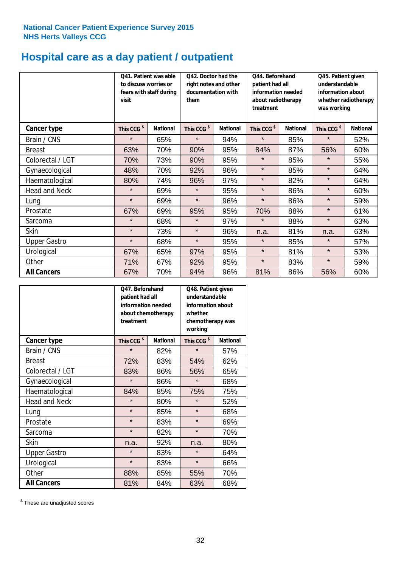## **Hospital care as a day patient / outpatient**

|                      | to discuss worries or<br>visit | Q41. Patient was able<br>fears with staff during | Q42. Doctor had the<br>right notes and other<br>documentation with<br>them |                 | Q44. Beforehand<br>patient had all<br>information needed<br>about radiotherapy<br>treatment |                 |                        |                 | Q45. Patient given<br>understandable<br>information about<br>was working | whether radiotherapy |
|----------------------|--------------------------------|--------------------------------------------------|----------------------------------------------------------------------------|-----------------|---------------------------------------------------------------------------------------------|-----------------|------------------------|-----------------|--------------------------------------------------------------------------|----------------------|
| <b>Cancer type</b>   | This CCG <sup>\$</sup>         | <b>National</b>                                  | This CCG <sup>\$</sup>                                                     | <b>National</b> | This CCG <sup>\$</sup>                                                                      | <b>National</b> | This CCG <sup>\$</sup> | <b>National</b> |                                                                          |                      |
| Brain / CNS          | $\star$                        | 65%                                              | $\star$                                                                    | 94%             | $\star$                                                                                     | 85%             | $\star$                | 52%             |                                                                          |                      |
| <b>Breast</b>        | 63%                            | 70%                                              | 90%                                                                        | 95%             | 84%                                                                                         | 87%             | 56%                    | 60%             |                                                                          |                      |
| Colorectal / LGT     | 70%                            | 73%                                              | 90%                                                                        | 95%             | $\star$                                                                                     | 85%             | $\star$                | 55%             |                                                                          |                      |
| Gynaecological       | 48%                            | 70%                                              | 92%                                                                        | 96%             | $\star$                                                                                     | 85%             | $\star$                | 64%             |                                                                          |                      |
| Haematological       | 80%                            | 74%                                              | 96%                                                                        | 97%             | $\star$                                                                                     | 82%             | $\star$                | 64%             |                                                                          |                      |
| <b>Head and Neck</b> | $\star$                        | 69%                                              | $\star$                                                                    | 95%             | $\star$                                                                                     | 86%             | $\star$                | 60%             |                                                                          |                      |
| Lung                 | $\star$                        | 69%                                              | $\star$                                                                    | 96%             | $\star$                                                                                     | 86%             | $\star$                | 59%             |                                                                          |                      |
| Prostate             | 67%                            | 69%                                              | 95%                                                                        | 95%             | 70%                                                                                         | 88%             | $\star$                | 61%             |                                                                          |                      |
| Sarcoma              | $\star$                        | 68%                                              | $\star$                                                                    | 97%             | $\star$                                                                                     | 88%             | $\star$                | 63%             |                                                                          |                      |
| Skin                 | $\star$                        | 73%                                              | $\star$                                                                    | 96%             | n.a.                                                                                        | 81%             | n.a.                   | 63%             |                                                                          |                      |
| <b>Upper Gastro</b>  | $\star$                        | 68%                                              | $\star$                                                                    | 95%             | $\star$                                                                                     | 85%             | $\star$                | 57%             |                                                                          |                      |
| Urological           | 67%                            | 65%                                              | 97%                                                                        | 95%             | $\star$                                                                                     | 81%             | $\star$                | 53%             |                                                                          |                      |
| Other                | 71%                            | 67%                                              | 92%                                                                        | 95%             | $\star$                                                                                     | 83%             | $\star$                | 59%             |                                                                          |                      |
| <b>All Cancers</b>   | 67%                            | 70%                                              | 94%                                                                        | 96%             | 81%                                                                                         | 86%             | 56%                    | 60%             |                                                                          |                      |

|                      | O47. Beforehand<br>patient had all<br>information needed<br>about chemotherapy<br>treatment |                 | Q48. Patient given<br>understandable<br>information about<br>whether<br>chemotherapy was<br>working |                 |
|----------------------|---------------------------------------------------------------------------------------------|-----------------|-----------------------------------------------------------------------------------------------------|-----------------|
| <b>Cancer type</b>   | This CCG <sup>\$</sup>                                                                      | <b>National</b> | This CCG <sup>\$</sup>                                                                              | <b>National</b> |
| Brain / CNS          | $\star$                                                                                     | 82%             | $\star$                                                                                             | 57%             |
| <b>Breast</b>        | 72%                                                                                         | 83%             | 54%                                                                                                 | 62%             |
| Colorectal / LGT     | 83%                                                                                         | 86%             | 56%                                                                                                 | 65%             |
| Gynaecological       | $\star$                                                                                     | 86%             | $\star$                                                                                             | 68%             |
| Haematological       | 84%                                                                                         | 85%             | 75%                                                                                                 | 75%             |
| <b>Head and Neck</b> | $\star$                                                                                     | 80%             | $\star$                                                                                             | 52%             |
| Lung                 | $\star$                                                                                     | 85%             | $\star$                                                                                             | 68%             |
| Prostate             | $\star$                                                                                     | 83%             | $\star$                                                                                             | 69%             |
| Sarcoma              | $\star$                                                                                     | 82%             | $\star$                                                                                             | 70%             |
| Skin                 | n.a.                                                                                        | 92%             | n.a.                                                                                                | 80%             |
| <b>Upper Gastro</b>  | $\star$                                                                                     | 83%             | $\star$                                                                                             | 64%             |
| Urological           | $\star$                                                                                     | 83%             | $\star$                                                                                             | 66%             |
| Other                | 88%                                                                                         | 85%             | 55%                                                                                                 | 70%             |
| <b>All Cancers</b>   | 81%                                                                                         | 84%             | 63%                                                                                                 | 68%             |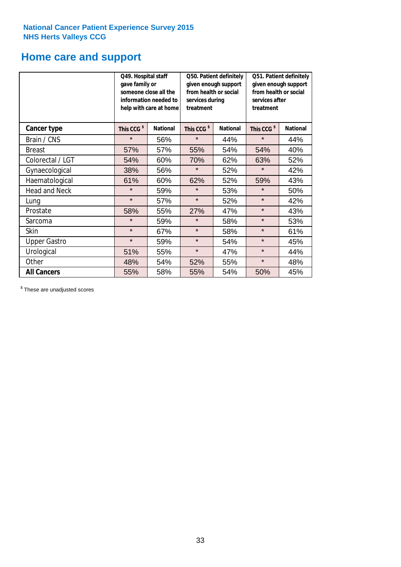## **Home care and support**

|                      |                        | Q49. Hospital staff<br>Q50. Patient definitely<br>given enough support<br>gave family or<br>from health or social<br>someone close all the<br>information needed to<br>services during<br>treatment<br>help with care at home |                        |                 | Q51. Patient definitely<br>given enough support<br>from health or social<br>services after<br>treatment |                 |
|----------------------|------------------------|-------------------------------------------------------------------------------------------------------------------------------------------------------------------------------------------------------------------------------|------------------------|-----------------|---------------------------------------------------------------------------------------------------------|-----------------|
| <b>Cancer type</b>   | This CCG <sup>\$</sup> | <b>National</b>                                                                                                                                                                                                               | This CCG <sup>\$</sup> | <b>National</b> | This CCG <sup>\$</sup>                                                                                  | <b>National</b> |
| Brain / CNS          | $\star$                | 56%                                                                                                                                                                                                                           | $\star$                | 44%             | $\star$                                                                                                 | 44%             |
| <b>Breast</b>        | 57%                    | 57%                                                                                                                                                                                                                           | 55%                    | 54%             | 54%                                                                                                     | 40%             |
| Colorectal / LGT     | 54%                    | 60%                                                                                                                                                                                                                           | 70%                    | 62%             | 63%                                                                                                     | 52%             |
| Gynaecological       | 38%                    | 56%                                                                                                                                                                                                                           | $\star$                | 52%             | $\star$                                                                                                 | 42%             |
| Haematological       | 61%                    | 60%                                                                                                                                                                                                                           | 62%                    | 52%             | 59%                                                                                                     | 43%             |
| <b>Head and Neck</b> | $\star$                | 59%                                                                                                                                                                                                                           | $\star$                | 53%             | $\star$                                                                                                 | 50%             |
| Lung                 | $\star$                | 57%                                                                                                                                                                                                                           | $\star$                | 52%             | $\star$                                                                                                 | 42%             |
| Prostate             | 58%                    | 55%                                                                                                                                                                                                                           | 27%                    | 47%             | $\star$                                                                                                 | 43%             |
| Sarcoma              | $\star$                | 59%                                                                                                                                                                                                                           | $\star$                | 58%             | $\star$                                                                                                 | 53%             |
| Skin                 | $\star$                | 67%                                                                                                                                                                                                                           | $\star$                | 58%             | $\star$                                                                                                 | 61%             |
| <b>Upper Gastro</b>  | $\star$                | 59%                                                                                                                                                                                                                           | $\star$                | 54%             | $\star$                                                                                                 | 45%             |
| Urological           | 51%                    | 55%                                                                                                                                                                                                                           | $\star$                | 47%             | $\star$                                                                                                 | 44%             |
| Other                | 48%                    | 54%                                                                                                                                                                                                                           | 52%                    | 55%             | $\star$                                                                                                 | 48%             |
| <b>All Cancers</b>   | 55%                    | 58%                                                                                                                                                                                                                           | 55%                    | 54%             | 50%                                                                                                     | 45%             |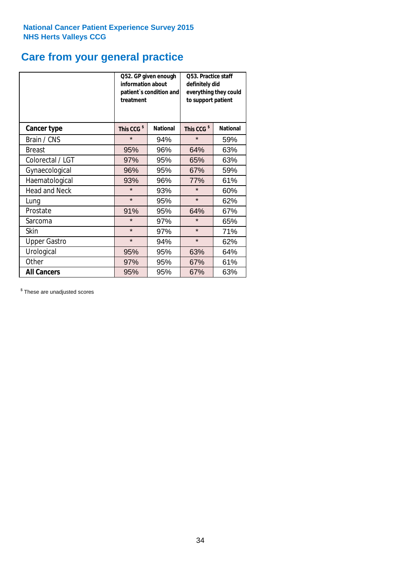## **Care from your general practice**

|                      | information about<br>treatment | Q52. GP given enough<br>patient's condition and | O53. Practice staff<br>definitely did<br>everything they could<br>to support patient |                 |  |
|----------------------|--------------------------------|-------------------------------------------------|--------------------------------------------------------------------------------------|-----------------|--|
| <b>Cancer type</b>   | This CCG <sup>\$</sup>         | <b>National</b>                                 | This CCG <sup>\$</sup>                                                               | <b>National</b> |  |
| Brain / CNS          | $\star$                        | 94%                                             | $\star$                                                                              | 59%             |  |
| <b>Breast</b>        | 95%                            | 96%                                             | 64%                                                                                  | 63%             |  |
| Colorectal / LGT     | 97%                            | 95%                                             | 65%                                                                                  | 63%             |  |
| Gynaecological       | 96%                            | 95%                                             | 67%                                                                                  | 59%             |  |
| Haematological       | 93%                            | 96%                                             | 77%                                                                                  | 61%             |  |
| <b>Head and Neck</b> | $\star$                        | 93%                                             | $\star$                                                                              | 60%             |  |
| Lung                 | $\star$                        | 95%                                             | $\star$                                                                              | 62%             |  |
| Prostate             | 91%                            | 95%                                             | 64%                                                                                  | 67%             |  |
| Sarcoma              | $\star$                        | 97%                                             | $\star$                                                                              | 65%             |  |
| Skin                 | $\star$                        | 97%                                             | $\star$                                                                              | 71%             |  |
| <b>Upper Gastro</b>  | $\star$                        | 94%                                             | $\star$                                                                              | 62%             |  |
| Urological           | 95%                            | 95%                                             | 63%                                                                                  | 64%             |  |
| Other                | 97%                            | 95%                                             | 67%                                                                                  | 61%             |  |
| <b>All Cancers</b>   | 95%                            | 95%                                             | 67%                                                                                  | 63%             |  |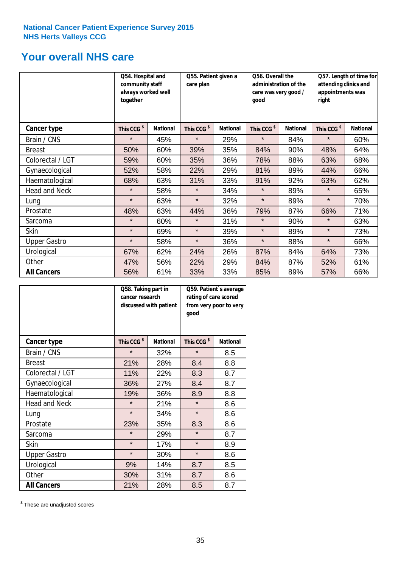## **Your overall NHS care**

|                      | Q54. Hospital and<br>community staff<br>always worked well<br>together |                 | Q55. Patient given a<br>care plan |                 | Q56. Overall the<br>administration of the<br>care was very good /<br>qood |                 | Q57. Length of time for<br>attending clinics and<br>appointments was<br>right |                 |
|----------------------|------------------------------------------------------------------------|-----------------|-----------------------------------|-----------------|---------------------------------------------------------------------------|-----------------|-------------------------------------------------------------------------------|-----------------|
| Cancer type          | This CCG <sup>\$</sup>                                                 | <b>National</b> | This CCG <sup>\$</sup>            | <b>National</b> | This CCG <sup>\$</sup>                                                    | <b>National</b> | This CCG <sup>\$</sup>                                                        | <b>National</b> |
| Brain / CNS          | $\star$                                                                | 45%             | $\star$                           | 29%             | $\star$                                                                   | 84%             | $\star$                                                                       | 60%             |
| <b>Breast</b>        | 50%                                                                    | 60%             | 39%                               | 35%             | 84%                                                                       | 90%             | 48%                                                                           | 64%             |
| Colorectal / LGT     | 59%                                                                    | 60%             | 35%                               | 36%             | 78%                                                                       | 88%             | 63%                                                                           | 68%             |
| Gynaecological       | 52%                                                                    | 58%             | 22%                               | 29%             | 81%                                                                       | 89%             | 44%                                                                           | 66%             |
| Haematological       | 68%                                                                    | 63%             | 31%                               | 33%             | 91%                                                                       | 92%             | 63%                                                                           | 62%             |
| <b>Head and Neck</b> | $\star$                                                                | 58%             | $\star$                           | 34%             | $\star$                                                                   | 89%             | $\star$                                                                       | 65%             |
| Lung                 | $\star$                                                                | 63%             | $\star$                           | 32%             | $\star$                                                                   | 89%             | $\star$                                                                       | 70%             |
| Prostate             | 48%                                                                    | 63%             | 44%                               | 36%             | 79%                                                                       | 87%             | 66%                                                                           | 71%             |
| Sarcoma              | $\star$                                                                | 60%             | $\star$                           | 31%             | $\star$                                                                   | 90%             | $\star$                                                                       | 63%             |
| Skin                 | $\star$                                                                | 69%             | $\star$                           | 39%             | $\star$                                                                   | 89%             | $\star$                                                                       | 73%             |
| <b>Upper Gastro</b>  | $\star$                                                                | 58%             | $\star$                           | 36%             | $\star$                                                                   | 88%             | $\star$                                                                       | 66%             |
| Urological           | 67%                                                                    | 62%             | 24%                               | 26%             | 87%                                                                       | 84%             | 64%                                                                           | 73%             |
| Other                | 47%                                                                    | 56%             | 22%                               | 29%             | 84%                                                                       | 87%             | 52%                                                                           | 61%             |
| <b>All Cancers</b>   | 56%                                                                    | 61%             | 33%                               | 33%             | 85%                                                                       | 89%             | 57%                                                                           | 66%             |

|                      | Q58. Taking part in<br>cancer research | discussed with patient | Q59. Patient's average<br>rating of care scored<br>from very poor to very<br>good |                 |  |
|----------------------|----------------------------------------|------------------------|-----------------------------------------------------------------------------------|-----------------|--|
| <b>Cancer type</b>   | This CCG <sup>\$</sup>                 | <b>National</b>        | This CCG <sup>\$</sup>                                                            | <b>National</b> |  |
| Brain / CNS          | $\star$                                | 32%                    | $\star$                                                                           | 8.5             |  |
| <b>Breast</b>        | 21%                                    | 28%                    | 8.4                                                                               | 8.8             |  |
| Colorectal / LGT     | 11%                                    | 22%                    | 8.3                                                                               | 8.7             |  |
| Gynaecological       | 36%                                    | 27%                    | 8.4                                                                               | 8.7             |  |
| Haematological       | 19%                                    | 36%                    | 8.9                                                                               | 8.8             |  |
| <b>Head and Neck</b> | $\star$                                | 21%                    | $\star$                                                                           | 8.6             |  |
| Lung                 | $\star$                                | 34%                    | $\star$                                                                           | 8.6             |  |
| Prostate             | 23%                                    | 35%                    | 8.3                                                                               | 8.6             |  |
| Sarcoma              | $\star$                                | 29%                    | $\star$                                                                           | 8.7             |  |
| Skin                 | $\star$                                | 17%                    | $\star$                                                                           | 8.9             |  |
| <b>Upper Gastro</b>  | $\star$                                | 30%                    | $\star$                                                                           | 8.6             |  |
| Urological           | 9%                                     | 14%                    | 8.7                                                                               | 8.5             |  |
| Other                | 30%                                    | 31%                    | 8.7                                                                               | 8.6             |  |
| <b>All Cancers</b>   | 21%                                    | 28%                    | 8.5                                                                               | 8.7             |  |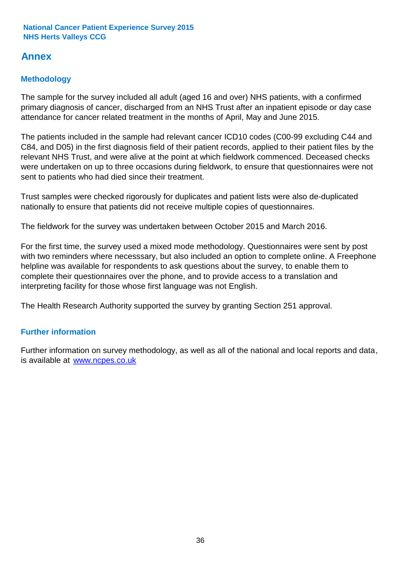## **Annex**

## **Methodology**

The sample for the survey included all adult (aged 16 and over) NHS patients, with a confirmed primary diagnosis of cancer, discharged from an NHS Trust after an inpatient episode or day case attendance for cancer related treatment in the months of April, May and June 2015.

The patients included in the sample had relevant cancer ICD10 codes (C00-99 excluding C44 and C84, and D05) in the first diagnosis field of their patient records, applied to their patient files by the relevant NHS Trust, and were alive at the point at which fieldwork commenced. Deceased checks were undertaken on up to three occasions during fieldwork, to ensure that questionnaires were not sent to patients who had died since their treatment.

Trust samples were checked rigorously for duplicates and patient lists were also de-duplicated nationally to ensure that patients did not receive multiple copies of questionnaires.

The fieldwork for the survey was undertaken between October 2015 and March 2016.

For the first time, the survey used a mixed mode methodology. Questionnaires were sent by post with two reminders where necesssary, but also included an option to complete online. A Freephone helpline was available for respondents to ask questions about the survey, to enable them to complete their questionnaires over the phone, and to provide access to a translation and interpreting facility for those whose first language was not English.

The Health Research Authority supported the survey by granting Section 251 approval.

## **Further information**

Further information on survey methodology, as well as all of the national and local reports and data, is available at www.ncpes.co.uk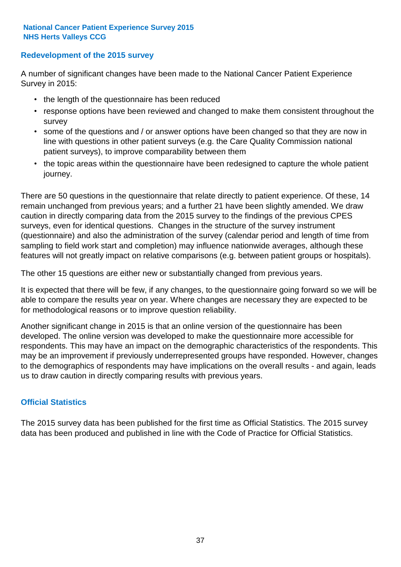### **Redevelopment of the 2015 survey**

A number of significant changes have been made to the National Cancer Patient Experience Survey in 2015:

- the length of the questionnaire has been reduced
- response options have been reviewed and changed to make them consistent throughout the survey
- some of the questions and / or answer options have been changed so that they are now in line with questions in other patient surveys (e.g. the Care Quality Commission national patient surveys), to improve comparability between them
- the topic areas within the questionnaire have been redesigned to capture the whole patient journey.

There are 50 questions in the questionnaire that relate directly to patient experience. Of these, 14 remain unchanged from previous years; and a further 21 have been slightly amended. We draw caution in directly comparing data from the 2015 survey to the findings of the previous CPES surveys, even for identical questions. Changes in the structure of the survey instrument (questionnaire) and also the administration of the survey (calendar period and length of time from sampling to field work start and completion) may influence nationwide averages, although these features will not greatly impact on relative comparisons (e.g. between patient groups or hospitals).

The other 15 questions are either new or substantially changed from previous years.

It is expected that there will be few, if any changes, to the questionnaire going forward so we will be able to compare the results year on year. Where changes are necessary they are expected to be for methodological reasons or to improve question reliability.

Another significant change in 2015 is that an online version of the questionnaire has been developed. The online version was developed to make the questionnaire more accessible for respondents. This may have an impact on the demographic characteristics of the respondents. This may be an improvement if previously underrepresented groups have responded. However, changes to the demographics of respondents may have implications on the overall results - and again, leads us to draw caution in directly comparing results with previous years.

### **Official Statistics**

The 2015 survey data has been published for the first time as Official Statistics. The 2015 survey data has been produced and published in line with the Code of Practice for Official Statistics.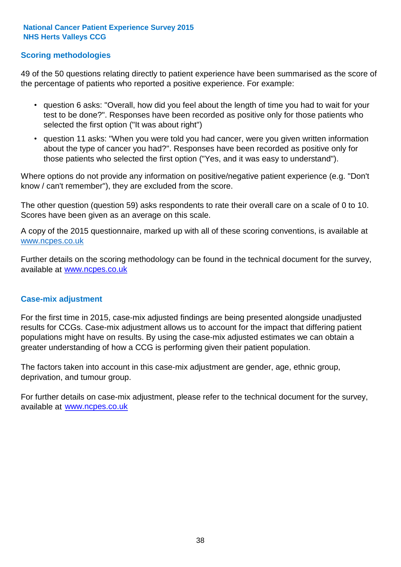### **Scoring methodologies**

49 of the 50 questions relating directly to patient experience have been summarised as the score of the percentage of patients who reported a positive experience. For example:

- question 6 asks: "Overall, how did you feel about the length of time you had to wait for your test to be done?". Responses have been recorded as positive only for those patients who selected the first option ("It was about right")
- question 11 asks: "When you were told you had cancer, were you given written information about the type of cancer you had?". Responses have been recorded as positive only for those patients who selected the first option ("Yes, and it was easy to understand").

Where options do not provide any information on positive/negative patient experience (e.g. "Don't know / can't remember"), they are excluded from the score.

The other question (question 59) asks respondents to rate their overall care on a scale of 0 to 10. Scores have been given as an average on this scale.

A copy of the 2015 questionnaire, marked up with all of these scoring conventions, is available at www.ncpes.co.uk

Further details on the scoring methodology can be found in the technical document for the survey, available at <u>www.ncpes.co.uk</u>

#### **Case-mix adjustment**

For the first time in 2015, case-mix adjusted findings are being presented alongside unadjusted results for CCGs. Case-mix adjustment allows us to account for the impact that differing patient populations might have on results. By using the case-mix adjusted estimates we can obtain a greater understanding of how a CCG is performing given their patient population.

The factors taken into account in this case-mix adjustment are gender, age, ethnic group, deprivation, and tumour group.

For further details on case-mix adjustment, please refer to the technical document for the survey, available at www.ncpes.co.uk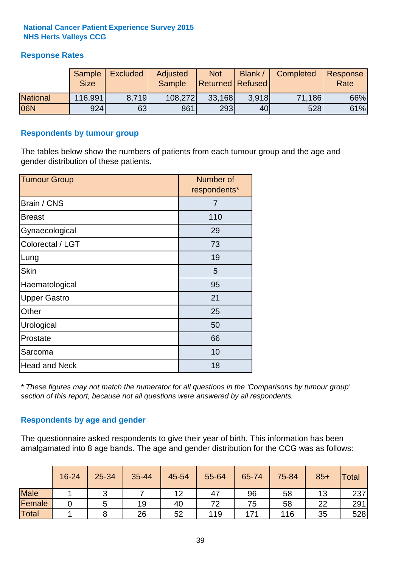### **Response Rates**

|                 | Sample<br><b>Size</b> | <b>Excluded</b> | Adjusted<br><b>Sample</b> | <b>Not</b><br>Returned   Refused | <b>Blank</b> | Completed | Response<br>Rate |
|-----------------|-----------------------|-----------------|---------------------------|----------------------------------|--------------|-----------|------------------|
| <b>National</b> | 116,991               | 8.719           | 108,272                   | 33,168                           | 3.918        | 71,186    | 66%              |
| 06N             | 924                   | 63              | 861                       | 293                              | 40           | 528       | 61%              |

#### **Respondents by tumour group**

The tables below show the numbers of patients from each tumour group and the age and gender distribution of these patients.

| <b>Tumour Group</b>  | Number of<br>respondents* |
|----------------------|---------------------------|
| Brain / CNS          | 7                         |
| <b>Breast</b>        | 110                       |
| Gynaecological       | 29                        |
| Colorectal / LGT     | 73                        |
| Lung                 | 19                        |
| <b>Skin</b>          | 5                         |
| Haematological       | 95                        |
| <b>Upper Gastro</b>  | 21                        |
| Other                | 25                        |
| Urological           | 50                        |
| Prostate             | 66                        |
| Sarcoma              | 10                        |
| <b>Head and Neck</b> | 18                        |

*\* These figures may not match the numerator for all questions in the 'Comparisons by tumour group' section of this report, because not all questions were answered by all respondents.*

### **Respondents by age and gender**

The questionnaire asked respondents to give their year of birth. This information has been amalgamated into 8 age bands. The age and gender distribution for the CCG was as follows:

|             | 16-24 | 25-34 | 35-44 | 45-54 | 55-64 | 65-74 | 75-84 | $85+$ | Total |
|-------------|-------|-------|-------|-------|-------|-------|-------|-------|-------|
| <b>Male</b> |       | ັ     |       | 12    | 47    | 96    | 58    | 13    | 237   |
| Female      |       | G     | 19    | 40    | 72    | 75    | 58    | 22    | 291   |
| Total       |       |       | 26    | 52    | 119   | 171   | 116   | 35    | 528   |